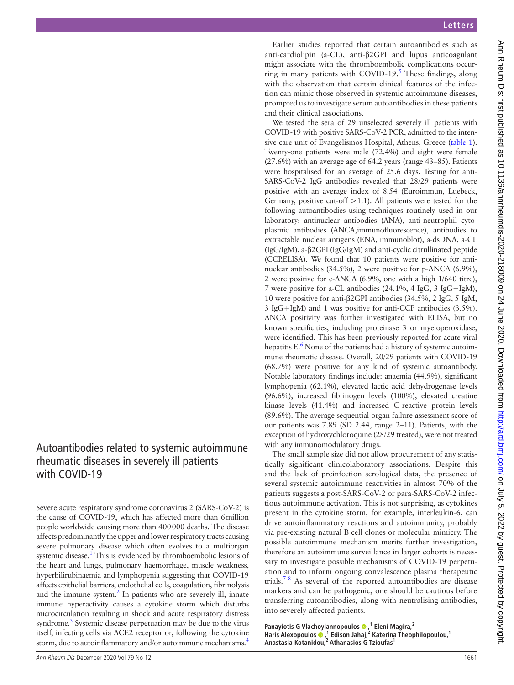Earlier studies reported that certain autoantibodies such as anti-cardiolipin (a-CL), anti-β2GPI and lupus anticoagulant might associate with the thromboembolic complications occurring in many patients with COVID-19. $<sup>5</sup>$  $<sup>5</sup>$  $<sup>5</sup>$  These findings, along</sup> with the observation that certain clinical features of the infection can mimic those observed in systemic autoimmune diseases, prompted us to investigate serum autoantibodies in these patients and their clinical associations.

We tested the sera of 29 unselected severely ill patients with COVID-19 with positive SARS-CoV-2 PCR, admitted to the intensive care unit of Evangelismos Hospital, Athens, Greece [\(table](#page-1-0) 1). Twenty-one patients were male (72.4%) and eight were female (27.6%) with an average age of 64.2 years (range 43–85). Patients were hospitalised for an average of 25.6 days. Testing for anti-SARS-CoV-2 IgG antibodies revealed that 28/29 patients were positive with an average index of 8.54 (Euroimmun, Luebeck, Germany, positive cut-off  $>1.1$ ). All patients were tested for the following autoantibodies using techniques routinely used in our laboratory: antinuclear antibodies (ANA), anti-neutrophil cytoplasmic antibodies (ANCA,immunofluorescence), antibodies to extractable nuclear antigens (ENA, immunoblot), a-dsDNA, a-CL (IgG/IgM), a-β2GPI (IgG/IgM) and anti-cyclic citrullinated peptide (CCP,ELISA). We found that 10 patients were positive for antinuclear antibodies (34.5%), 2 were positive for p-ANCA (6.9%), 2 were positive for c-ANCA (6.9%, one with a high 1/640 titre), 7 were positive for a-CL antibodies (24.1%, 4 IgG, 3 IgG+IgM), 10 were positive for anti-β2GPI antibodies (34.5%, 2 IgG, 5 IgM, 3 IgG+IgM) and 1 was positive for anti-CCP antibodies (3.5%). ANCA positivity was further investigated with ELISA, but no known specificities, including proteinase 3 or myeloperoxidase, were identified. This has been previously reported for acute viral hepatitis E.<sup>6</sup> None of the patients had a history of systemic autoimmune rheumatic disease. Overall, 20/29 patients with COVID-19 (68.7%) were positive for any kind of systemic autoantibody. Notable laboratory findings include: anaemia (44.9%), significant lymphopenia (62.1%), elevated lactic acid dehydrogenase levels (96.6%), increased fibrinogen levels (100%), elevated creatine kinase levels (41.4%) and increased C-reactive protein levels (89.6%). The average sequential organ failure assessment score of our patients was 7.89 (SD 2.44, range 2–11). Patients, with the exception of hydroxychloroquine (28/29 treated), were not treated with any immunomodulatory drugs.

The small sample size did not allow procurement of any statistically significant clinicolaboratory associations. Despite this and the lack of preinfection serological data, the presence of several systemic autoimmune reactivities in almost 70% of the patients suggests a post-SARS-CoV-2 or para-SARS-CoV-2 infectious autoimmune activation. This is not surprising, as cytokines present in the cytokine storm, for example, interleukin-6, can drive autoinflammatory reactions and autoimmunity, probably via pre-existing natural B cell clones or molecular mimicry. The possible autoimmune mechanism merits further investigation, therefore an autoimmune surveillance in larger cohorts is necessary to investigate possible mechanisms of COVID-19 perpetuation and to inform ongoing convalescence plasma therapeutic trials.<sup>78</sup> As several of the reported autoantibodies are disease markers and can be pathogenic, one should be cautious before transferring autoantibodies, along with neutralising antibodies, into severely affected patients.

**Panayiotis G Vlachoyiannopoulos,1 Eleni Magira,2** Haris Alexopoulos <sup>(1</sup>)<sup>1</sup> Edison Jahaj,<sup>2</sup> Katerina Theophilopoulou,<sup>1</sup> **Anastasia Kotanidou,<sup>2</sup> Athanasios G Tzioufas1**

# <span id="page-0-1"></span><span id="page-0-0"></span>Autoantibodies related to systemic autoimmune rheumatic diseases in severely ill patients with COVID-19

Severe acute respiratory syndrome coronavirus 2 (SARS-CoV-2) is the cause of COVID-19, which has affected more than 6million people worldwide causing more than 400000 deaths. The disease affects predominantly the upper and lower respiratory tracts causing severe pulmonary disease which often evolves to a multiorgan systemic disease.<sup>[1](#page--1-0)</sup> This is evidenced by thromboembolic lesions of the heart and lungs, pulmonary haemorrhage, muscle weakness, hyperbilirubinaemia and lymphopenia suggesting that COVID-19 affects epithelial barriers, endothelial cells, coagulation, fibrinolysis and the immune system. $<sup>2</sup>$  In patients who are severely ill, innate</sup> immune hyperactivity causes a cytokine storm which disturbs microcirculation resulting in shock and acute respiratory distress syndrome.<sup>3</sup> Systemic disease perpetuation may be due to the virus itself, infecting cells via ACE2 receptor or, following the cytokine storm, due to autoinflammatory and/or autoimmune mechanisms.<sup>4</sup>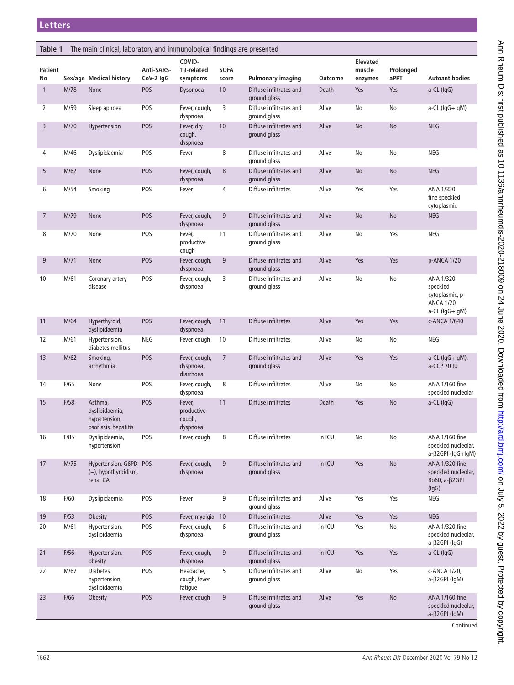<span id="page-1-0"></span>

| The main clinical, laboratory and immunological findings are presented<br>Table 1 |      |                                                                    |                         |                                            |                      |                                         |         |                                      |                   |                                                                                |
|-----------------------------------------------------------------------------------|------|--------------------------------------------------------------------|-------------------------|--------------------------------------------|----------------------|-----------------------------------------|---------|--------------------------------------|-------------------|--------------------------------------------------------------------------------|
| Patient<br>No                                                                     |      | Sex/age Medical history                                            | Anti-SARS-<br>CoV-2 IgG | COVID-<br>19-related<br>symptoms           | <b>SOFA</b><br>score | <b>Pulmonary imaging</b>                | Outcome | <b>Elevated</b><br>muscle<br>enzymes | Prolonged<br>aPPT | <b>Autoantibodies</b>                                                          |
| $\mathbf{1}$                                                                      | M/78 | None                                                               | POS                     | Dyspnoea                                   | 10                   | Diffuse infiltrates and<br>ground glass | Death   | Yes                                  | Yes               | a-CL (IgG)                                                                     |
| 2                                                                                 | M/59 | Sleep apnoea                                                       | POS                     | Fever, cough,<br>dyspnoea                  | 3                    | Diffuse infiltrates and<br>ground glass | Alive   | No                                   | No                | a-CL (IgG+IgM)                                                                 |
| 3                                                                                 | M/70 | Hypertension                                                       | POS                     | Fever, dry<br>cough,<br>dyspnoea           | 10                   | Diffuse infiltrates and<br>ground glass | Alive   | <b>No</b>                            | No                | <b>NEG</b>                                                                     |
| 4                                                                                 | M/46 | Dyslipidaemia                                                      | POS                     | Fever                                      | 8                    | Diffuse infiltrates and<br>ground glass | Alive   | No                                   | No                | NEG                                                                            |
| 5                                                                                 | M/62 | None                                                               | POS                     | Fever, cough,<br>dyspnoea                  | $\,8\,$              | Diffuse infiltrates and<br>ground glass | Alive   | No                                   | No                | <b>NEG</b>                                                                     |
| 6                                                                                 | M/54 | Smoking                                                            | POS                     | Fever                                      | 4                    | Diffuse infiltrates                     | Alive   | Yes                                  | Yes               | ANA 1/320<br>fine speckled<br>cytoplasmic                                      |
| $\overline{7}$                                                                    | M/79 | <b>None</b>                                                        | POS                     | Fever, cough,<br>dyspnoea                  | 9                    | Diffuse infiltrates and<br>ground glass | Alive   | No                                   | No                | <b>NEG</b>                                                                     |
| 8                                                                                 | M/70 | None                                                               | POS                     | Fever,<br>productive<br>cough              | 11                   | Diffuse infiltrates and<br>ground glass | Alive   | No                                   | Yes               | <b>NEG</b>                                                                     |
| 9                                                                                 | M/71 | None                                                               | POS                     | Fever, cough,<br>dyspnoea                  | 9                    | Diffuse infiltrates and<br>ground glass | Alive   | Yes                                  | Yes               | p-ANCA 1/20                                                                    |
| 10                                                                                | M/61 | Coronary artery<br>disease                                         | POS                     | Fever, cough,<br>dyspnoea                  | 3                    | Diffuse infiltrates and<br>ground glass | Alive   | No                                   | No                | ANA 1/320<br>speckled<br>cytoplasmic, p-<br><b>ANCA 1/20</b><br>a-CL (IgG+IgM) |
| 11                                                                                | M/64 | Hyperthyroid,<br>dyslipidaemia                                     | POS                     | Fever, cough,<br>dyspnoea                  | 11                   | Diffuse infiltrates                     | Alive   | Yes                                  | Yes               | c-ANCA 1/640                                                                   |
| 12                                                                                | M/61 | Hypertension,<br>diabetes mellitus                                 | NEG                     | Fever, cough                               | 10                   | Diffuse infiltrates                     | Alive   | No                                   | No                | <b>NEG</b>                                                                     |
| 13                                                                                | M/62 | Smoking,<br>arrhythmia                                             | POS                     | Fever, cough,<br>dyspnoea,<br>diarrhoea    | $\overline{7}$       | Diffuse infiltrates and<br>ground glass | Alive   | Yes                                  | Yes               | a-CL (IgG+IgM),<br>a-CCP 70 IU                                                 |
| 14                                                                                | F/65 | None                                                               | POS                     | Fever, cough,<br>dyspnoea                  | 8                    | Diffuse infiltrates                     | Alive   | No                                   | No                | ANA 1/160 fine<br>speckled nucleolar                                           |
| 15                                                                                | F/58 | Asthma,<br>dyslipidaemia,<br>hypertension,<br>psoriasis, hepatitis | POS                     | Fever,<br>productive<br>cough,<br>dyspnoea | 11                   | Diffuse infiltrates                     | Death   | Yes                                  | No                | a-CL (IgG)                                                                     |
| 16                                                                                | F/85 | Dyslipidaemia,<br>hypertension                                     | POS                     | Fever, cough                               | 8                    | Diffuse infiltrates                     | In ICU  | No                                   | No                | <b>ANA 1/160 fine</b><br>speckled nucleolar,<br>a-β2GPI (IgG+IgM)              |
| 17                                                                                | M/75 | Hypertension, G6PD POS<br>(-), hypothyroidism,<br>renal CA         |                         | Fever, cough,<br>dyspnoea                  | 9                    | Diffuse infiltrates and<br>ground glass | In ICU  | Yes                                  | No                | <b>ANA 1/320 fine</b><br>speckled nucleolar,<br>Ro60, a-β2GPI<br>(lgG)         |
| 18                                                                                | F/60 | Dyslipidaemia                                                      | POS                     | Fever                                      | 9                    | Diffuse infiltrates and<br>ground glass | Alive   | Yes                                  | Yes               | NEG                                                                            |
| 19                                                                                | F/53 | Obesity                                                            | POS                     | Fever, myalgia                             | 10                   | Diffuse infiltrates                     | Alive   | Yes                                  | Yes               | <b>NEG</b>                                                                     |
| 20                                                                                | M/61 | Hypertension,<br>dyslipidaemia                                     | POS                     | Fever, cough,<br>dyspnoea                  | 6                    | Diffuse infiltrates and<br>ground glass | In ICU  | Yes                                  | No                | <b>ANA 1/320 fine</b><br>speckled nucleolar,<br>$a-\beta 2GPI$ (IgG)           |
| 21                                                                                | F/56 | Hypertension,<br>obesity                                           | POS                     | Fever, cough,<br>dyspnoea                  | 9                    | Diffuse infiltrates and<br>ground glass | In ICU  | Yes                                  | Yes               | $a-CL$ ( $lqG$ )                                                               |
| 22                                                                                | M/67 | Diabetes,<br>hypertension,<br>dyslipidaemia                        | POS                     | Headache,<br>cough, fever,<br>fatigue      | 5                    | Diffuse infiltrates and<br>ground glass | Alive   | No                                   | Yes               | c-ANCA 1/20,<br>$a-\beta 2GPI$ (IgM)                                           |
| 23                                                                                | F/66 | <b>Obesity</b>                                                     | POS                     | Fever, cough                               | 9                    | Diffuse infiltrates and<br>ground glass | Alive   | Yes                                  | No                | <b>ANA 1/160 fine</b><br>speckled nucleolar,<br>$a-\beta 2GPI$ (IgM)           |
|                                                                                   |      |                                                                    |                         |                                            |                      |                                         |         |                                      |                   | Continued                                                                      |